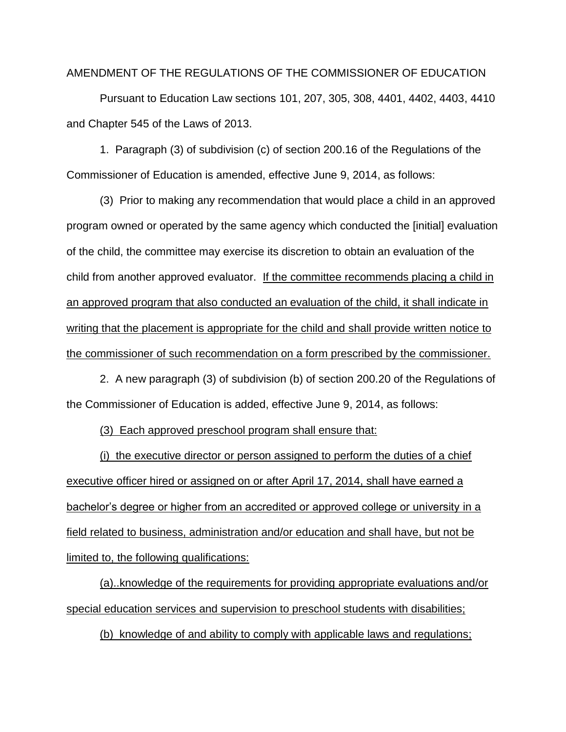AMENDMENT OF THE REGULATIONS OF THE COMMISSIONER OF EDUCATION

Pursuant to Education Law sections 101, 207, 305, 308, 4401, 4402, 4403, 4410 and Chapter 545 of the Laws of 2013.

1. Paragraph (3) of subdivision (c) of section 200.16 of the Regulations of the Commissioner of Education is amended, effective June 9, 2014, as follows:

(3) Prior to making any recommendation that would place a child in an approved program owned or operated by the same agency which conducted the [initial] evaluation of the child, the committee may exercise its discretion to obtain an evaluation of the child from another approved evaluator. If the committee recommends placing a child in an approved program that also conducted an evaluation of the child, it shall indicate in writing that the placement is appropriate for the child and shall provide written notice to the commissioner of such recommendation on a form prescribed by the commissioner.

2. A new paragraph (3) of subdivision (b) of section 200.20 of the Regulations of the Commissioner of Education is added, effective June 9, 2014, as follows:

(3) Each approved preschool program shall ensure that:

(i) the executive director or person assigned to perform the duties of a chief executive officer hired or assigned on or after April 17, 2014, shall have earned a bachelor's degree or higher from an accredited or approved college or university in a field related to business, administration and/or education and shall have, but not be limited to, the following qualifications:

(a)..knowledge of the requirements for providing appropriate evaluations and/or special education services and supervision to preschool students with disabilities;

(b) knowledge of and ability to comply with applicable laws and regulations;